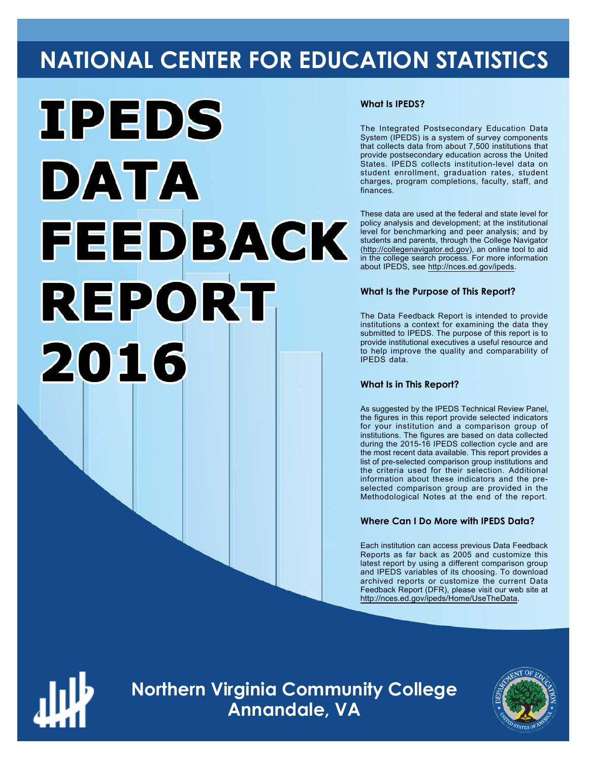# **NATIONAL CENTER FOR EDUCATION STATISTICS**



#### **What Is IPEDS?**

The Integrated Postsecondary Education Data System (IPEDS) is a system of survey components that collects data from about 7,500 institutions that provide postsecondary education across the United States. IPEDS collects institution-level data on student enrollment, graduation rates, student charges, program completions, faculty, staff, and finances.

These data are used at the federal and state level for policy analysis and development; at the institutional level for benchmarking and peer analysis; and by students and parents, through the College Navigator ([http://collegenavigator.ed.gov\)](http://collegenavigator.ed.gov), an online tool to aid in the college search process. For more information about IPEDS, see [http://nces.ed.gov/ipeds.](http://nces.ed.gov/ipeds)

#### **What Is the Purpose of This Report?**

The Data Feedback Report is intended to provide institutions a context for examining the data they submitted to IPEDS. The purpose of this report is to provide institutional executives a useful resource and to help improve the quality and comparability of IPEDS data.

#### **What Is in This Report?**

As suggested by the IPEDS Technical Review Panel, the figures in this report provide selected indicators for your institution and a comparison group of institutions. The figures are based on data collected during the 2015-16 IPEDS collection cycle and are the most recent data available. This report provides a list of pre-selected comparison group institutions and the criteria used for their selection. Additional information about these indicators and the preselected comparison group are provided in the Methodological Notes at the end of the report.

#### **Where Can I Do More with IPEDS Data?**

Each institution can access previous Data Feedback Reports as far back as 2005 and customize this latest report by using a different comparison group and IPEDS variables of its choosing. To download archived reports or customize the current Data Feedback Report (DFR), please visit our web site at [http://nces.ed.gov/ipeds/Home/UseTheData.](http://nces.ed.gov/ipeds/Home/UseTheData)



**Northern Virginia Community College Annandale, VA**

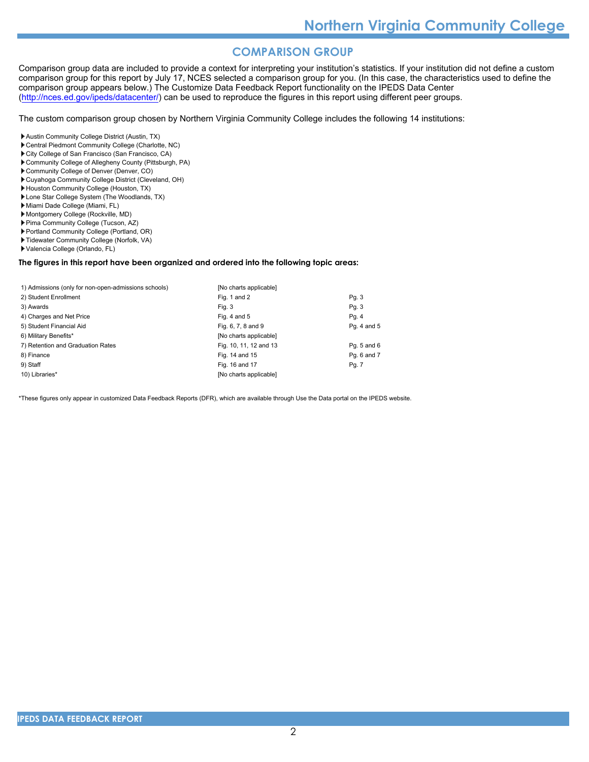### **COMPARISON GROUP**

Comparison group data are included to provide a context for interpreting your institution's statistics. If your institution did not define a custom comparison group for this report by July 17, NCES selected a comparison group for you. (In this case, the characteristics used to define the comparison group appears below.) The Customize Data Feedback Report functionality on the IPEDS Data Center [\(http://nces.ed.gov/ipeds/datacenter/\)](http://nces.ed.gov/ipeds/datacenter/) can be used to reproduce the figures in this report using different peer groups.

The custom comparison group chosen by Northern Virginia Community College includes the following 14 institutions:

- Austin Community College District (Austin, TX)
- Central Piedmont Community College (Charlotte, NC)
- City College of San Francisco (San Francisco, CA)
- Community College of Allegheny County (Pittsburgh, PA)
- Community College of Denver (Denver, CO)
- Cuyahoga Community College District (Cleveland, OH)
- Houston Community College (Houston, TX)
- Lone Star College System (The Woodlands, TX)
- Miami Dade College (Miami, FL)
- Montgomery College (Rockville, MD)
- Pima Community College (Tucson, AZ)
- Portland Community College (Portland, OR)
- Tidewater Community College (Norfolk, VA)
- Valencia College (Orlando, FL)

#### **The figures in this report have been organized and ordered into the following topic areas:**

| 1) Admissions (only for non-open-admissions schools) | [No charts applicable] |             |
|------------------------------------------------------|------------------------|-------------|
| 2) Student Enrollment                                | Fig. 1 and 2           | Pg. 3       |
| 3) Awards                                            | Fig. 3                 | Pg. 3       |
| 4) Charges and Net Price                             | Fig. 4 and $5$         | Pg. 4       |
| 5) Student Financial Aid                             | Fig. 6, 7, 8 and 9     | Pg. 4 and 5 |
| 6) Military Benefits*                                | [No charts applicable] |             |
| 7) Retention and Graduation Rates                    | Fig. 10, 11, 12 and 13 | Pg. 5 and 6 |
| 8) Finance                                           | Fig. 14 and 15         | Pq. 6 and 7 |
| 9) Staff                                             | Fig. 16 and 17         | Pg. 7       |
| 10) Libraries*                                       | [No charts applicable] |             |

\*These figures only appear in customized Data Feedback Reports (DFR), which are available through Use the Data portal on the IPEDS website.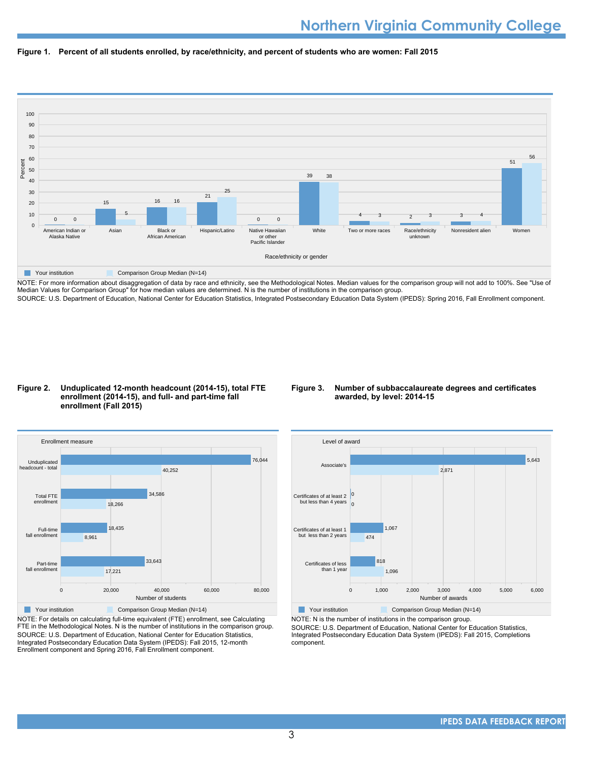



NOTE: For more information about disaggregation of data by race and ethnicity, see the Methodological Notes. Median values for the comparison group will not add to 100%. See "Use of Median Values for Comparison Group" for how median values are determined. N is the number of institutions in the comparison group. SOURCE: U.S. Department of Education, National Center for Education Statistics, Integrated Postsecondary Education Data System (IPEDS): Spring 2016, Fall Enrollment component.

#### **Figure 2. Unduplicated 12-month headcount (2014-15), total FTE enrollment (2014-15), and full- and part-time fall enrollment (Fall 2015)**

#### **Figure 3. Number of subbaccalaureate degrees and certificates awarded, by level: 2014-15**



NOTE: For details on calculating full-time equivalent (FTE) enrollment, see Calculating FTE in the Methodological Notes. N is the number of institutions in the comparison group. SOURCE: U.S. Department of Education, National Center for Education Statistics, Integrated Postsecondary Education Data System (IPEDS): Fall 2015, 12-month Enrollment component and Spring 2016, Fall Enrollment component.



**Your institution** Comparison Group Median (N=14)

NOTE: N is the number of institutions in the comparison group.

SOURCE: U.S. Department of Education, National Center for Education Statistics, Integrated Postsecondary Education Data System (IPEDS): Fall 2015, Completions component.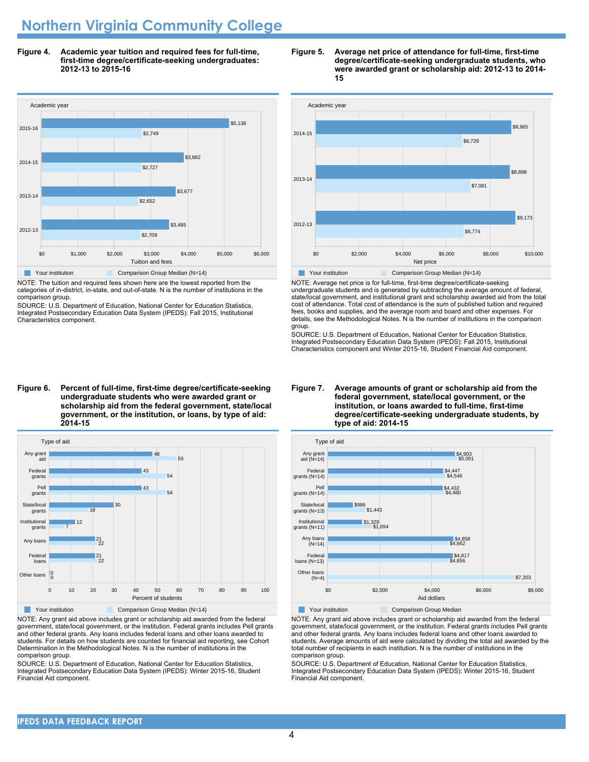# **Northern Virginia Community College**

**Figure 4. Academic year tuition and required fees for full-time, first-time degree/certificate-seeking undergraduates: 2012-13 to 2015-16**



NOTE: The tuition and required fees shown here are the lowest reported from the categories of in-district, in-state, and out-of-state. N is the number of institutions in the comparison group.

SOURCE: U.S. Department of Education, National Center for Education Statistics, Integrated Postsecondary Education Data System (IPEDS): Fall 2015, Institutional Characteristics component.

#### **Figure 5. Average net price of attendance for full-time, first-time degree/certificate-seeking undergraduate students, who were awarded grant or scholarship aid: 2012-13 to 2014- 15**



NOTE: Average net price is for full-time, first-time degree/certificate-seeking undergraduate students and is generated by subtracting the average amount of federal, state/local government, and institutional grant and scholarship awarded aid from the total cost of attendance. Total cost of attendance is the sum of published tuition and required fees, books and supplies, and the average room and board and other expenses. For details, see the Methodological Notes. N is the number of institutions in the comparison group.

SOURCE: U.S. Department of Education, National Center for Education Statistics, Integrated Postsecondary Education Data System (IPEDS): Fall 2015, Institutional Characteristics component and Winter 2015-16, Student Financial Aid component.

#### **Figure 6. Percent of full-time, first-time degree/certificate-seeking undergraduate students who were awarded grant or scholarship aid from the federal government, state/local government, or the institution, or loans, by type of aid: 2014-15**



NOTE: Any grant aid above includes grant or scholarship aid awarded from the federal government, state/local government, or the institution. Federal grants includes Pell grants and other federal grants. Any loans includes federal loans and other loans awarded to students. For details on how students are counted for financial aid reporting, see Cohort Determination in the Methodological Notes. N is the number of institutions in the comparison group.

SOURCE: U.S. Department of Education, National Center for Education Statistics, Integrated Postsecondary Education Data System (IPEDS): Winter 2015-16, Student Financial Aid component.

#### **Figure 7. Average amounts of grant or scholarship aid from the federal government, state/local government, or the institution, or loans awarded to full-time, first-time degree/certificate-seeking undergraduate students, by type of aid: 2014-15**



NOTE: Any grant aid above includes grant or scholarship aid awarded from the federal

government, state/local government, or the institution. Federal grants includes Pell grants and other federal grants. Any loans includes federal loans and other loans awarded to students. Average amounts of aid were calculated by dividing the total aid awarded by the total number of recipients in each institution. N is the number of institutions in the comparison group.

SOURCE: U.S. Department of Education, National Center for Education Statistics, Integrated Postsecondary Education Data System (IPEDS): Winter 2015-16, Student Financial Aid component.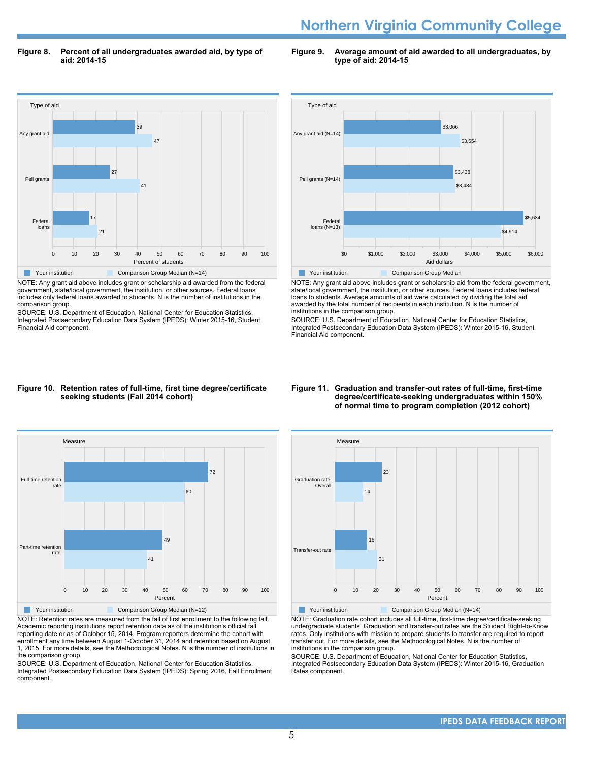# **Northern Virginia Community College**

**Figure 8. Percent of all undergraduates awarded aid, by type of aid: 2014-15**

**Figure 9. Average amount of aid awarded to all undergraduates, by type of aid: 2014-15**



NOTE: Any grant aid above includes grant or scholarship aid awarded from the federal government, state/local government, the institution, or other sources. Federal loans includes only federal loans awarded to students. N is the number of institutions in the comparison group.

SOURCE: U.S. Department of Education, National Center for Education Statistics, Integrated Postsecondary Education Data System (IPEDS): Winter 2015-16, Student Financial Aid component.



NOTE: Any grant aid above includes grant or scholarship aid from the federal government, state/local government, the institution, or other sources. Federal loans includes federal loans to students. Average amounts of aid were calculated by dividing the total aid awarded by the total number of recipients in each institution. N is the number of institutions in the comparison group.

SOURCE: U.S. Department of Education, National Center for Education Statistics, Integrated Postsecondary Education Data System (IPEDS): Winter 2015-16, Student Financial Aid component.

#### **Figure 10. Retention rates of full-time, first time degree/certificate seeking students (Fall 2014 cohort)**



NOTE: Retention rates are measured from the fall of first enrollment to the following fall. Academic reporting institutions report retention data as of the institution's official fall reporting date or as of October 15, 2014. Program reporters determine the cohort with enrollment any time between August 1-October 31, 2014 and retention based on August 1, 2015. For more details, see the Methodological Notes. N is the number of institutions in the comparison group.

SOURCE: U.S. Department of Education, National Center for Education Statistics, Integrated Postsecondary Education Data System (IPEDS): Spring 2016, Fall Enrollment component.

#### **Figure 11. Graduation and transfer-out rates of full-time, first-time degree/certificate-seeking undergraduates within 150% of normal time to program completion (2012 cohort)**



NOTE: Graduation rate cohort includes all full-time, first-time degree/certificate-seeking undergraduate students. Graduation and transfer-out rates are the Student Right-to-Know rates. Only institutions with mission to prepare students to transfer are required to report transfer out. For more details, see the Methodological Notes. N is the number of institutions in the comparison group.

SOURCE: U.S. Department of Education, National Center for Education Statistics, Integrated Postsecondary Education Data System (IPEDS): Winter 2015-16, Graduation Rates component.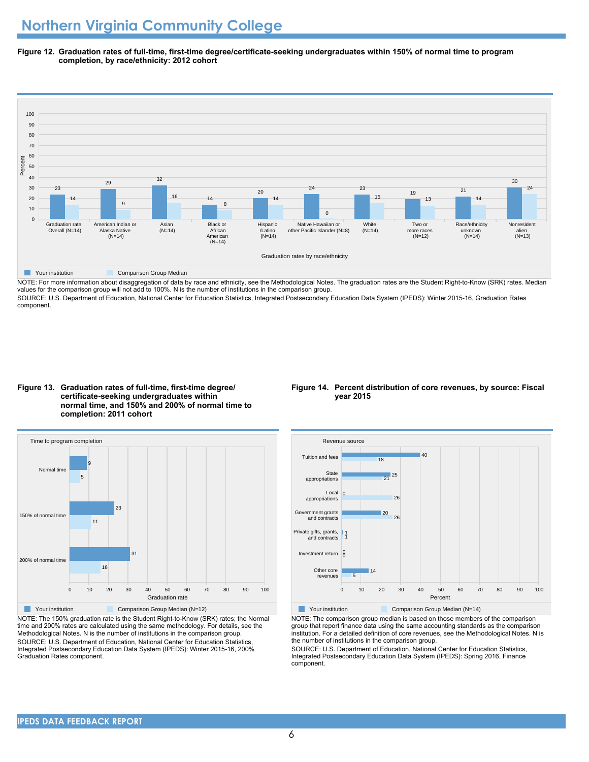**Figure 12. Graduation rates of full-time, first-time degree/certificate-seeking undergraduates within 150% of normal time to program completion, by race/ethnicity: 2012 cohort**



NOTE: For more information about disaggregation of data by race and ethnicity, see the Methodological Notes. The graduation rates are the Student Right-to-Know (SRK) rates. Median values for the comparison group will not add to 100%. N is the number of institutions in the comparison group.

SOURCE: U.S. Department of Education, National Center for Education Statistics, Integrated Postsecondary Education Data System (IPEDS): Winter 2015-16, Graduation Rates component.

#### **Figure 13. Graduation rates of full-time, first-time degree/ certificate-seeking undergraduates within normal time, and 150% and 200% of normal time to completion: 2011 cohort**



NOTE: The 150% graduation rate is the Student Right-to-Know (SRK) rates; the Normal time and 200% rates are calculated using the same methodology. For details, see the Methodological Notes. N is the number of institutions in the comparison group. SOURCE: U.S. Department of Education, National Center for Education Statistics, Integrated Postsecondary Education Data System (IPEDS): Winter 2015-16, 200% Graduation Rates component.

#### **Figure 14. Percent distribution of core revenues, by source: Fiscal year 2015**



NOTE: The comparison group median is based on those members of the comparison group that report finance data using the same accounting standards as the comparison institution. For a detailed definition of core revenues, see the Methodological Notes. N is the number of institutions in the comparison group.

SOURCE: U.S. Department of Education, National Center for Education Statistics, Integrated Postsecondary Education Data System (IPEDS): Spring 2016, Finance component.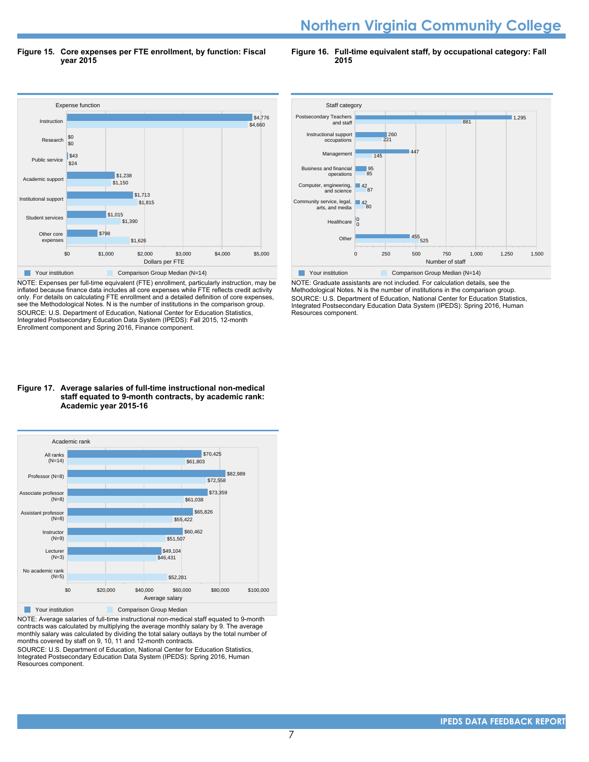# **Northern Virginia Community College**

**Figure 15. Core expenses per FTE enrollment, by function: Fiscal year 2015**

**Figure 16. Full-time equivalent staff, by occupational category: Fall 2015**



NOTE: Expenses per full-time equivalent (FTE) enrollment, particularly instruction, may be inflated because finance data includes all core expenses while FTE reflects credit activity only. For details on calculating FTE enrollment and a detailed definition of core expenses, see the Methodological Notes. N is the number of institutions in the comparison group. SOURCE: U.S. Department of Education, National Center for Education Statistics, Integrated Postsecondary Education Data System (IPEDS): Fall 2015, 12-month Enrollment component and Spring 2016, Finance component.



NOTE: Graduate assistants are not included. For calculation details, see the Methodological Notes. N is the number of institutions in the comparison group. SOURCE: U.S. Department of Education, National Center for Education Statistics, Integrated Postsecondary Education Data System (IPEDS): Spring 2016, Human Resources component.

#### **Figure 17. Average salaries of full-time instructional non-medical staff equated to 9-month contracts, by academic rank: Academic year 2015-16**



NOTE: Average salaries of full-time instructional non-medical staff equated to 9-month contracts was calculated by multiplying the average monthly salary by 9. The average monthly salary was calculated by dividing the total salary outlays by the total number of months covered by staff on 9, 10, 11 and 12-month contracts.

SOURCE: U.S. Department of Education, National Center for Education Statistics, Integrated Postsecondary Education Data System (IPEDS): Spring 2016, Human Resources component.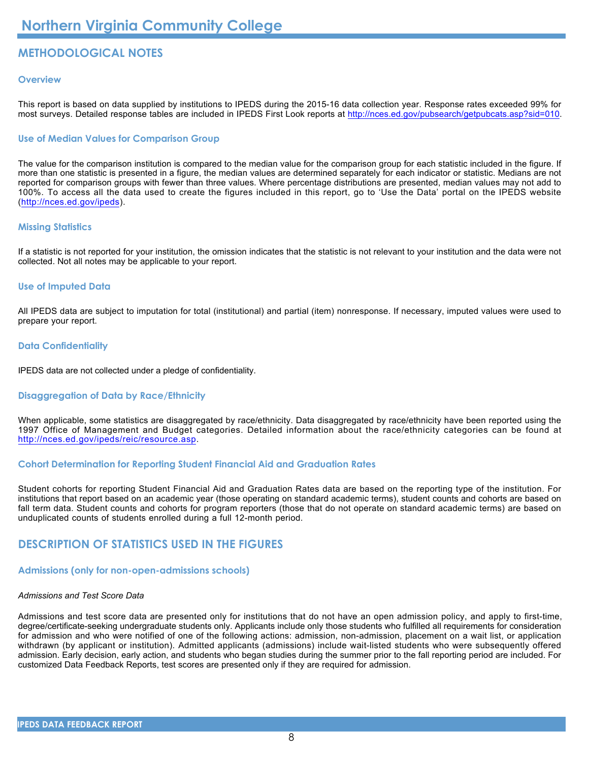## **METHODOLOGICAL NOTES**

#### **Overview**

This report is based on data supplied by institutions to IPEDS during the 2015-16 data collection year. Response rates exceeded 99% for most surveys. Detailed response tables are included in IPEDS First Look reports at [http://nces.ed.gov/pubsearch/getpubcats.asp?sid=010.](http://nces.ed.gov/pubsearch/getpubcats.asp?sid=010)

#### **Use of Median Values for Comparison Group**

The value for the comparison institution is compared to the median value for the comparison group for each statistic included in the figure. If more than one statistic is presented in a figure, the median values are determined separately for each indicator or statistic. Medians are not reported for comparison groups with fewer than three values. Where percentage distributions are presented, median values may not add to 100%. To access all the data used to create the figures included in this report, go to 'Use the Data' portal on the IPEDS website (<http://nces.ed.gov/ipeds>).

#### **Missing Statistics**

If a statistic is not reported for your institution, the omission indicates that the statistic is not relevant to your institution and the data were not collected. Not all notes may be applicable to your report.

#### **Use of Imputed Data**

All IPEDS data are subject to imputation for total (institutional) and partial (item) nonresponse. If necessary, imputed values were used to prepare your report.

#### **Data Confidentiality**

IPEDS data are not collected under a pledge of confidentiality.

#### **Disaggregation of Data by Race/Ethnicity**

When applicable, some statistics are disaggregated by race/ethnicity. Data disaggregated by race/ethnicity have been reported using the 1997 Office of Management and Budget categories. Detailed information about the race/ethnicity categories can be found at <http://nces.ed.gov/ipeds/reic/resource.asp>.

#### **Cohort Determination for Reporting Student Financial Aid and Graduation Rates**

Student cohorts for reporting Student Financial Aid and Graduation Rates data are based on the reporting type of the institution. For institutions that report based on an academic year (those operating on standard academic terms), student counts and cohorts are based on fall term data. Student counts and cohorts for program reporters (those that do not operate on standard academic terms) are based on unduplicated counts of students enrolled during a full 12-month period.

### **DESCRIPTION OF STATISTICS USED IN THE FIGURES**

### **Admissions (only for non-open-admissions schools)**

#### *Admissions and Test Score Data*

Admissions and test score data are presented only for institutions that do not have an open admission policy, and apply to first-time, degree/certificate-seeking undergraduate students only. Applicants include only those students who fulfilled all requirements for consideration for admission and who were notified of one of the following actions: admission, non-admission, placement on a wait list, or application withdrawn (by applicant or institution). Admitted applicants (admissions) include wait-listed students who were subsequently offered admission. Early decision, early action, and students who began studies during the summer prior to the fall reporting period are included. For customized Data Feedback Reports, test scores are presented only if they are required for admission.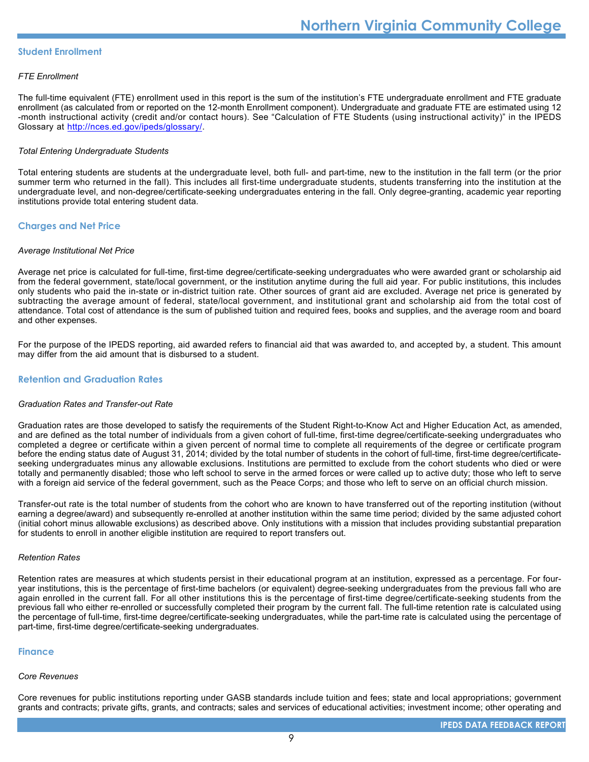#### **Student Enrollment**

#### *FTE Enrollment*

The full-time equivalent (FTE) enrollment used in this report is the sum of the institution's FTE undergraduate enrollment and FTE graduate enrollment (as calculated from or reported on the 12-month Enrollment component). Undergraduate and graduate FTE are estimated using 12 -month instructional activity (credit and/or contact hours). See "Calculation of FTE Students (using instructional activity)" in the IPEDS Glossary at <http://nces.ed.gov/ipeds/glossary/>.

#### *Total Entering Undergraduate Students*

Total entering students are students at the undergraduate level, both full- and part-time, new to the institution in the fall term (or the prior summer term who returned in the fall). This includes all first-time undergraduate students, students transferring into the institution at the undergraduate level, and non-degree/certificate-seeking undergraduates entering in the fall. Only degree-granting, academic year reporting institutions provide total entering student data.

#### **Charges and Net Price**

#### *Average Institutional Net Price*

Average net price is calculated for full-time, first-time degree/certificate-seeking undergraduates who were awarded grant or scholarship aid from the federal government, state/local government, or the institution anytime during the full aid year. For public institutions, this includes only students who paid the in-state or in-district tuition rate. Other sources of grant aid are excluded. Average net price is generated by subtracting the average amount of federal, state/local government, and institutional grant and scholarship aid from the total cost of attendance. Total cost of attendance is the sum of published tuition and required fees, books and supplies, and the average room and board and other expenses.

For the purpose of the IPEDS reporting, aid awarded refers to financial aid that was awarded to, and accepted by, a student. This amount may differ from the aid amount that is disbursed to a student.

#### **Retention and Graduation Rates**

#### *Graduation Rates and Transfer-out Rate*

Graduation rates are those developed to satisfy the requirements of the Student Right-to-Know Act and Higher Education Act, as amended, and are defined as the total number of individuals from a given cohort of full-time, first-time degree/certificate-seeking undergraduates who completed a degree or certificate within a given percent of normal time to complete all requirements of the degree or certificate program before the ending status date of August 31, 2014; divided by the total number of students in the cohort of full-time, first-time degree/certificateseeking undergraduates minus any allowable exclusions. Institutions are permitted to exclude from the cohort students who died or were totally and permanently disabled; those who left school to serve in the armed forces or were called up to active duty; those who left to serve with a foreign aid service of the federal government, such as the Peace Corps; and those who left to serve on an official church mission.

Transfer-out rate is the total number of students from the cohort who are known to have transferred out of the reporting institution (without earning a degree/award) and subsequently re-enrolled at another institution within the same time period; divided by the same adjusted cohort (initial cohort minus allowable exclusions) as described above. Only institutions with a mission that includes providing substantial preparation for students to enroll in another eligible institution are required to report transfers out.

#### *Retention Rates*

Retention rates are measures at which students persist in their educational program at an institution, expressed as a percentage. For fouryear institutions, this is the percentage of first-time bachelors (or equivalent) degree-seeking undergraduates from the previous fall who are again enrolled in the current fall. For all other institutions this is the percentage of first-time degree/certificate-seeking students from the previous fall who either re-enrolled or successfully completed their program by the current fall. The full-time retention rate is calculated using the percentage of full-time, first-time degree/certificate-seeking undergraduates, while the part-time rate is calculated using the percentage of part-time, first-time degree/certificate-seeking undergraduates.

#### **Finance**

#### *Core Revenues*

Core revenues for public institutions reporting under GASB standards include tuition and fees; state and local appropriations; government grants and contracts; private gifts, grants, and contracts; sales and services of educational activities; investment income; other operating and